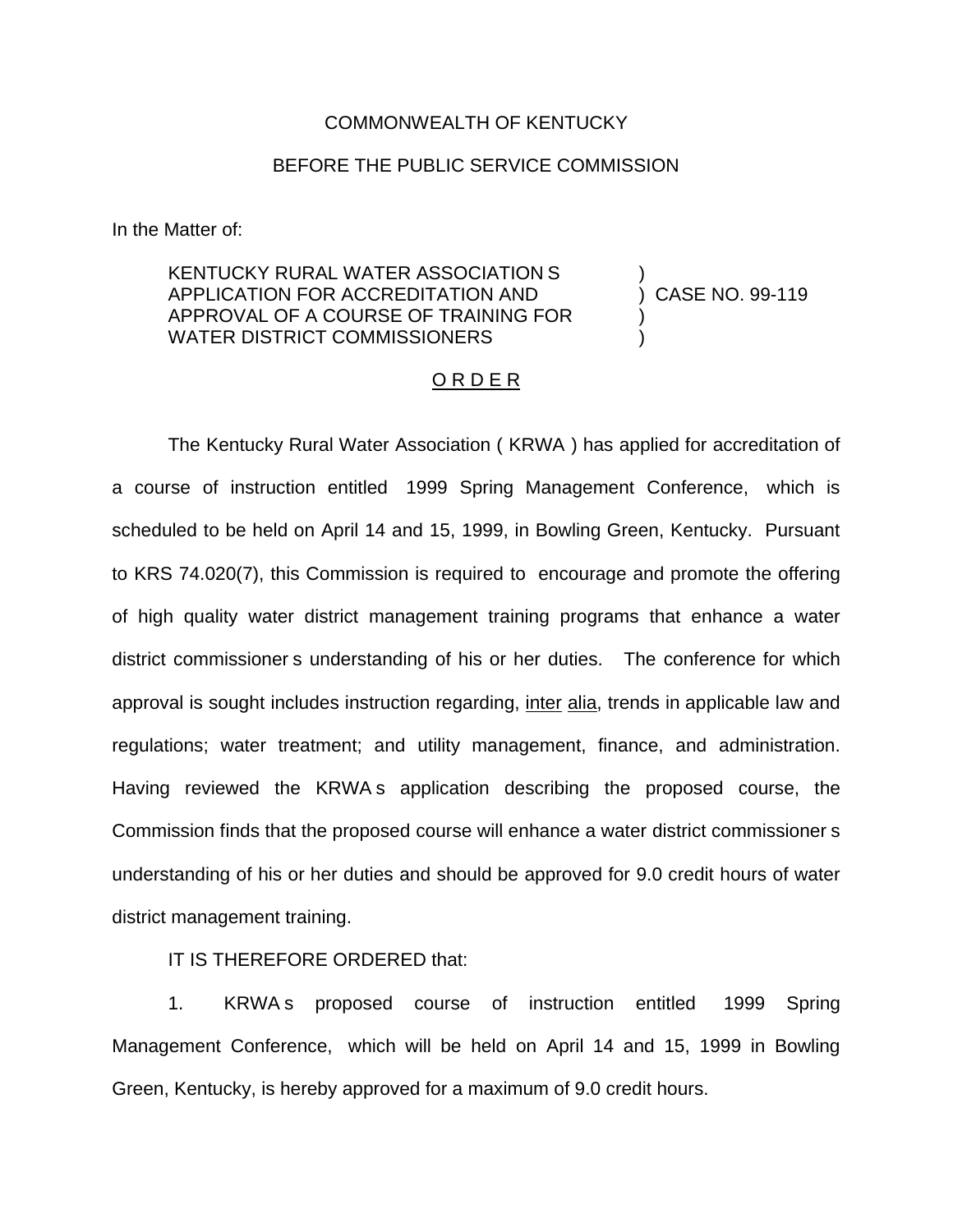## COMMONWEALTH OF KENTUCKY

## BEFORE THE PUBLIC SERVICE COMMISSION

In the Matter of:

KENTUCKY RURAL WATER ASSOCIATION S APPLICATION FOR ACCREDITATION AND APPROVAL OF A COURSE OF TRAINING FOR WATER DISTRICT COMMISSIONERS

) CASE NO. 99-119 )

)

)

## O R D E R

The Kentucky Rural Water Association ( KRWA ) has applied for accreditation of a course of instruction entitled 1999 Spring Management Conference, which is scheduled to be held on April 14 and 15, 1999, in Bowling Green, Kentucky. Pursuant to KRS 74.020(7), this Commission is required to encourage and promote the offering of high quality water district management training programs that enhance a water district commissioner s understanding of his or her duties. The conference for which approval is sought includes instruction regarding, inter alia, trends in applicable law and regulations; water treatment; and utility management, finance, and administration. Having reviewed the KRWA s application describing the proposed course, the Commission finds that the proposed course will enhance a water district commissioner s understanding of his or her duties and should be approved for 9.0 credit hours of water district management training.

IT IS THEREFORE ORDERED that:

1. KRWA s proposed course of instruction entitled 1999 Spring Management Conference, which will be held on April 14 and 15, 1999 in Bowling Green, Kentucky, is hereby approved for a maximum of 9.0 credit hours.